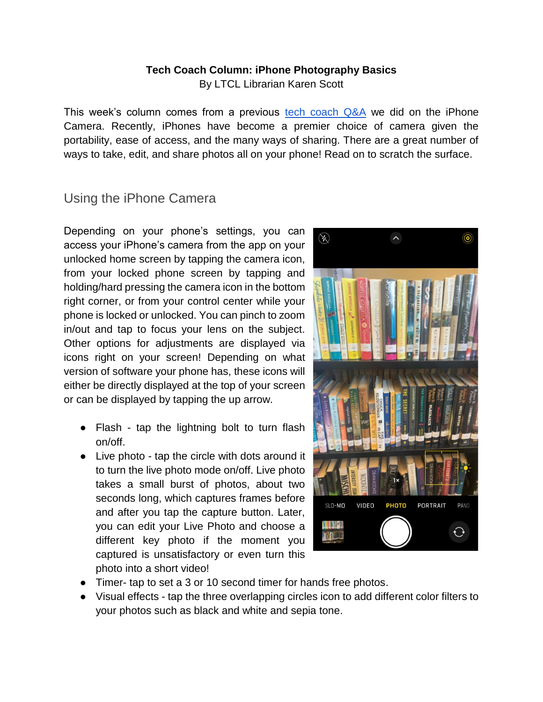## **Tech Coach Column: iPhone Photography Basics**

By LTCL Librarian Karen Scott

This week's column comes from a previous tech coach  $Q&A$  we did on the iPhone Camera. Recently, iPhones have become a premier choice of camera given the portability, ease of access, and the many ways of sharing. There are a great number of ways to take, edit, and share photos all on your phone! Read on to scratch the surface.

## Using the iPhone Camera

Depending on your phone's settings, you can access your iPhone's camera from the app on your unlocked home screen by tapping the camera icon, from your locked phone screen by tapping and holding/hard pressing the camera icon in the bottom right corner, or from your control center while your phone is locked or unlocked. You can pinch to zoom in/out and tap to focus your lens on the subject. Other options for adjustments are displayed via icons right on your screen! Depending on what version of software your phone has, these icons will either be directly displayed at the top of your screen or can be displayed by tapping the up arrow.

- Flash tap the lightning bolt to turn flash on/off.
- Live photo tap the circle with dots around it to turn the live photo mode on/off. Live photo takes a small burst of photos, about two seconds long, which captures frames before and after you tap the capture button. Later, you can edit your Live Photo and choose a different key photo if the moment you captured is unsatisfactory or even turn this photo into a short video!



- Timer- tap to set a 3 or 10 second timer for hands free photos.
- Visual effects tap the three overlapping circles icon to add different color filters to your photos such as black and white and sepia tone.